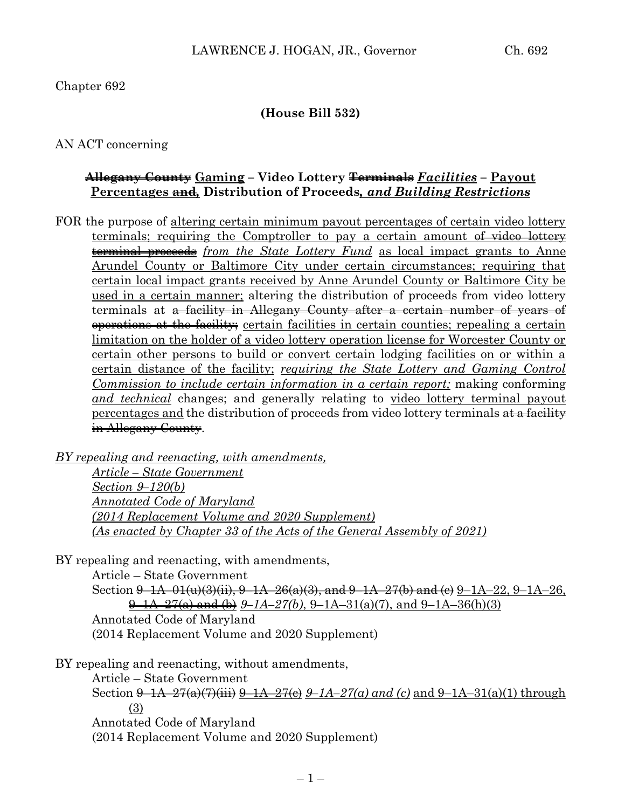Chapter 692

#### **(House Bill 532)**

AN ACT concerning

#### **Allegany County Gaming – Video Lottery Terminals** *Facilities* **– Payout Percentages and***,* **Distribution of Proceeds***, and Building Restrictions*

FOR the purpose of altering certain minimum payout percentages of certain video lottery terminals; requiring the Comptroller to pay a certain amount of video lottery terminal proceeds *from the State Lottery Fund* as local impact grants to Anne Arundel County or Baltimore City under certain circumstances; requiring that certain local impact grants received by Anne Arundel County or Baltimore City be used in a certain manner; altering the distribution of proceeds from video lottery terminals at a facility in Allegany County after a certain number of years of operations at the facility; certain facilities in certain counties; repealing a certain limitation on the holder of a video lottery operation license for Worcester County or certain other persons to build or convert certain lodging facilities on or within a certain distance of the facility; *requiring the State Lottery and Gaming Control Commission to include certain information in a certain report;* making conforming *and technical* changes; and generally relating to video lottery terminal payout percentages and the distribution of proceeds from video lottery terminals  $\frac{d}{dt}$  facility in Allegany County.

*BY repealing and reenacting, with amendments, Article – State Government Section 9–120(b) Annotated Code of Maryland (2014 Replacement Volume and 2020 Supplement) (As enacted by Chapter 33 of the Acts of the General Assembly of 2021)* 

BY repealing and reenacting, with amendments,

Article – State Government

Section  $9-1A-01(u)(3)(ii)$ ,  $9-1A-26(a)(3)$ , and  $9-1A-27(b)$  and  $(e)$   $9-1A-22$ ,  $9-1A-26$ , 9–1A–27(a) and (b) *9–1A–27(b)*, 9–1A–31(a)(7), and 9–1A–36(h)(3) Annotated Code of Maryland (2014 Replacement Volume and 2020 Supplement)

BY repealing and reenacting, without amendments,

Article – State Government

Section  $\frac{9-1A-27(a)(7)}{ii}$   $\frac{9-1A-27(c)}{2}$  *9–1A–27(a) and (c)* and 9–1A–31(a)(1) through (3) Annotated Code of Maryland

(2014 Replacement Volume and 2020 Supplement)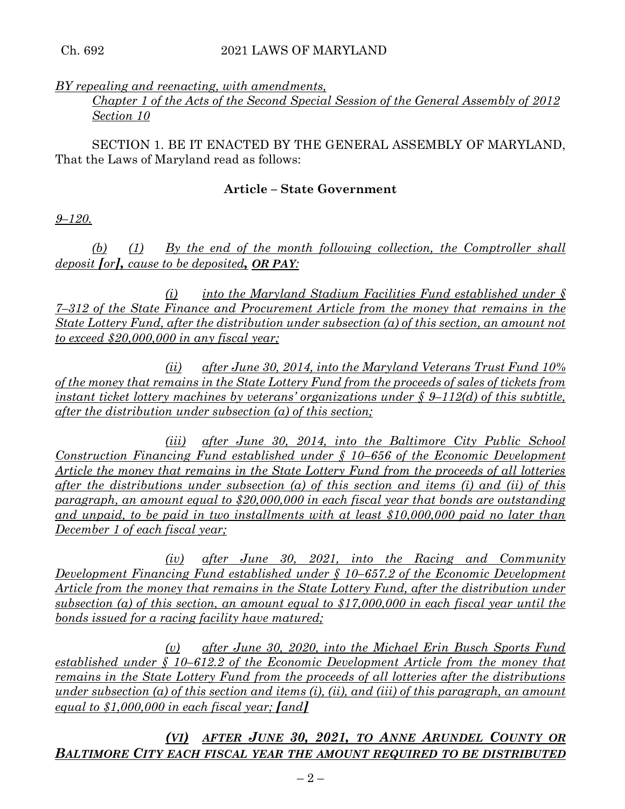## *BY repealing and reenacting, with amendments,*

## *Chapter 1 of the Acts of the Second Special Session of the General Assembly of 2012 Section 10*

SECTION 1. BE IT ENACTED BY THE GENERAL ASSEMBLY OF MARYLAND, That the Laws of Maryland read as follows:

## **Article – State Government**

*9–120.*

*(b) (1) By the end of the month following collection, the Comptroller shall deposit [or], cause to be deposited, OR PAY:*

*(i) into the Maryland Stadium Facilities Fund established under § 7–312 of the State Finance and Procurement Article from the money that remains in the State Lottery Fund, after the distribution under subsection (a) of this section, an amount not to exceed \$20,000,000 in any fiscal year;*

*(ii) after June 30, 2014, into the Maryland Veterans Trust Fund 10% of the money that remains in the State Lottery Fund from the proceeds of sales of tickets from instant ticket lottery machines by veterans' organizations under § 9–112(d) of this subtitle, after the distribution under subsection (a) of this section;*

*(iii) after June 30, 2014, into the Baltimore City Public School Construction Financing Fund established under § 10–656 of the Economic Development Article the money that remains in the State Lottery Fund from the proceeds of all lotteries after the distributions under subsection (a) of this section and items (i) and (ii) of this paragraph, an amount equal to \$20,000,000 in each fiscal year that bonds are outstanding and unpaid, to be paid in two installments with at least \$10,000,000 paid no later than December 1 of each fiscal year;*

*(iv) after June 30, 2021, into the Racing and Community Development Financing Fund established under § 10–657.2 of the Economic Development Article from the money that remains in the State Lottery Fund, after the distribution under subsection (a) of this section, an amount equal to \$17,000,000 in each fiscal year until the bonds issued for a racing facility have matured;*

*(v) after June 30, 2020, into the Michael Erin Busch Sports Fund established under § 10–612.2 of the Economic Development Article from the money that remains in the State Lottery Fund from the proceeds of all lotteries after the distributions under subsection (a) of this section and items (i), (ii), and (iii) of this paragraph, an amount equal to \$1,000,000 in each fiscal year; [and]*

*(VI) AFTER JUNE 30, 2021, TO ANNE ARUNDEL COUNTY OR BALTIMORE CITY EACH FISCAL YEAR THE AMOUNT REQUIRED TO BE DISTRIBUTED*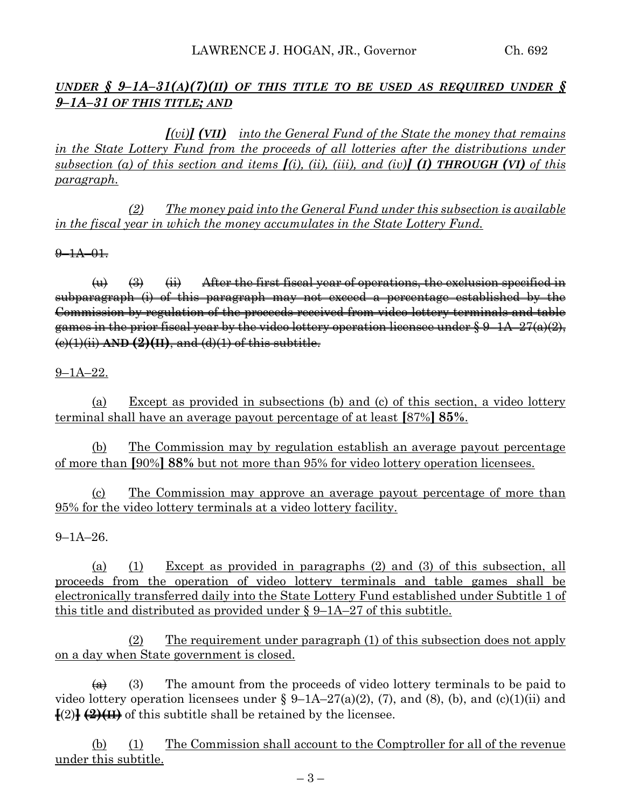## *UNDER*  $\oint$  *9-1A-31(A)(7)(II) OF THIS TITLE TO BE USED AS REQUIRED UNDER*  $\oint$ *9–1A–31 OF THIS TITLE; AND*

*[(vi)] (VII) into the General Fund of the State the money that remains in the State Lottery Fund from the proceeds of all lotteries after the distributions under*  subsection (a) of this section and items  $I(i)$ , (ii), (iii), and (iv)**] (1) THROUGH (VI)** of this *paragraph.*

*(2) The money paid into the General Fund under this subsection is available in the fiscal year in which the money accumulates in the State Lottery Fund.*

 $9 - 1A - 01.$ 

 $\overleftrightarrow{\mathbf{u}}$   $\overrightarrow{\mathbf{a}}$   $\overrightarrow{\mathbf{u}}$  After the first fiscal year of operations, the exclusion specified in subparagraph (i) of this paragraph may not exceed a percentage established by the Commission by regulation of the proceeds received from video lottery terminals and table games in the prior fiscal year by the video lottery operation licensee under  $\S 9-1A-27(a)(2)$ , (c)(1)(ii) **AND (2)(II)**, and (d)(1) of this subtitle.

#### 9–1A–22.

(a) Except as provided in subsections (b) and (c) of this section, a video lottery terminal shall have an average payout percentage of at least **[**87%**] 85%**.

(b) The Commission may by regulation establish an average payout percentage of more than **[**90%**] 88%** but not more than 95% for video lottery operation licensees.

(c) The Commission may approve an average payout percentage of more than 95% for the video lottery terminals at a video lottery facility.

 $9 - 1A - 26$ .

(a) (1) Except as provided in paragraphs (2) and (3) of this subsection, all proceeds from the operation of video lottery terminals and table games shall be electronically transferred daily into the State Lottery Fund established under Subtitle 1 of this title and distributed as provided under § 9–1A–27 of this subtitle.

(2) The requirement under paragraph (1) of this subsection does not apply on a day when State government is closed.

 $\overline{(a)}$  (3) The amount from the proceeds of video lottery terminals to be paid to video lottery operation licensees under §  $9-1A-27(a)(2)$ , (7), and (8), (b), and (c)(1)(ii) and  $\{(2)\}\left(\frac{2}{\sqrt{11}}\right)$  of this subtitle shall be retained by the licensee.

(b) (1) The Commission shall account to the Comptroller for all of the revenue under this subtitle.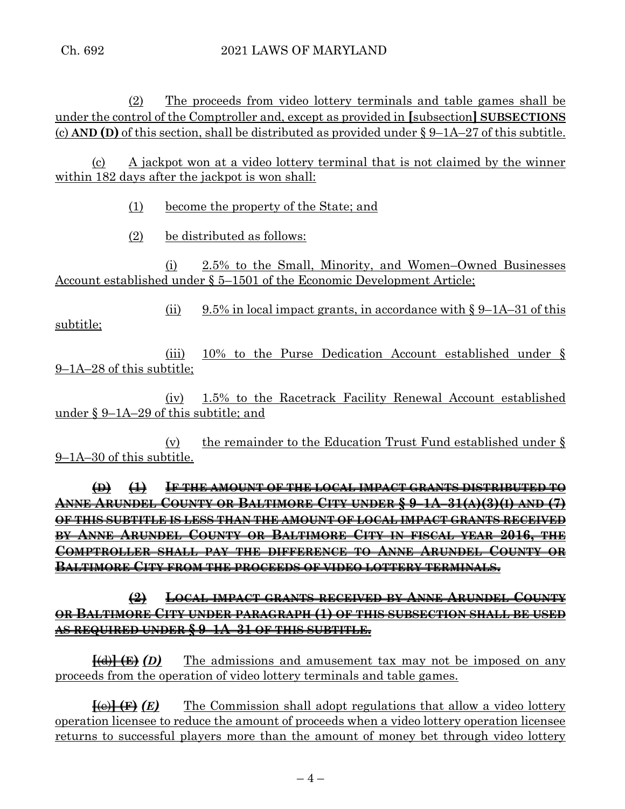(2) The proceeds from video lottery terminals and table games shall be under the control of the Comptroller and, except as provided in **[**subsection**] SUBSECTIONS** (c) **AND (D)** of this section, shall be distributed as provided under  $\S 9-1A-27$  of this subtitle.

(c) A jackpot won at a video lottery terminal that is not claimed by the winner within 182 days after the jackpot is won shall:

(1) become the property of the State; and

(2) be distributed as follows:

(i) 2.5% to the Small, Minority, and Women–Owned Businesses Account established under § 5–1501 of the Economic Development Article;

(ii) 9.5% in local impact grants, in accordance with  $\S 9$ –1A–31 of this subtitle;

(iii) 10% to the Purse Dedication Account established under § 9–1A–28 of this subtitle;

(iv) 1.5% to the Racetrack Facility Renewal Account established under § 9–1A–29 of this subtitle; and

(v) the remainder to the Education Trust Fund established under § 9–1A–30 of this subtitle.

**(D) (1) IF THE AMOUNT OF THE LOCAL IMPACT GRANTS DISTRIBUTED TO ANNE ARUNDEL COUNTY OR BALTIMORE CITY UNDER § 9–1A–31(A)(3)(I) AND (7) OF THIS SUBTITLE IS LESS THAN THE AMOUNT OF LOCAL IMPACT GRANTS RECEIVED BY ANNE ARUNDEL COUNTY OR BALTIMORE CITY IN FISCAL YEAR 2016, THE COMPTROLLER SHALL PAY THE DIFFERENCE TO ANNE ARUNDEL COUNTY OR BALTIMORE CITY FROM THE PROCEEDS OF VIDEO LOTTERY TERMINALS.**

# **(2) LOCAL IMPACT GRANTS RECEIVED BY ANNE ARUNDEL COUNTY OR BALTIMORE CITY UNDER PARAGRAPH (1) OF THIS SUBSECTION SHALL BE USED AS REQUIRED UNDER § 9–1A–31 OF THIS SUBTITLE.**

**[**(d)**] (E)** *(D)* The admissions and amusement tax may not be imposed on any proceeds from the operation of video lottery terminals and table games.

**[**(e)**] (F)** *(E)* The Commission shall adopt regulations that allow a video lottery operation licensee to reduce the amount of proceeds when a video lottery operation licensee returns to successful players more than the amount of money bet through video lottery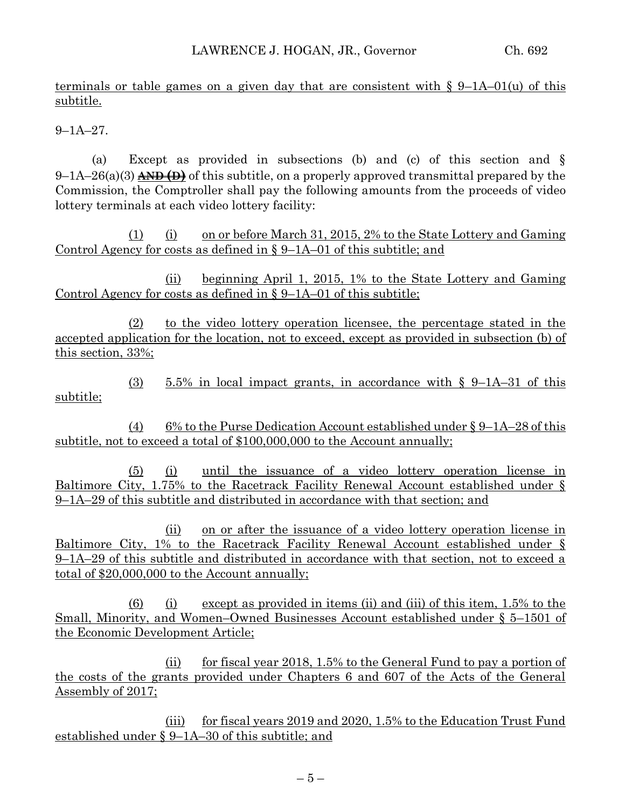terminals or table games on a given day that are consistent with  $\S$  9–1A–01(u) of this subtitle.

9–1A–27.

(a) Except as provided in subsections (b) and (c) of this section and § 9–1A–26(a)(3) **AND (D)** of this subtitle, on a properly approved transmittal prepared by the Commission, the Comptroller shall pay the following amounts from the proceeds of video lottery terminals at each video lottery facility:

(1) (i) on or before March 31, 2015, 2% to the State Lottery and Gaming Control Agency for costs as defined in § 9–1A–01 of this subtitle; and

(ii) beginning April 1, 2015, 1% to the State Lottery and Gaming Control Agency for costs as defined in  $\S 9$ –1A–01 of this subtitle;

(2) to the video lottery operation licensee, the percentage stated in the accepted application for the location, not to exceed, except as provided in subsection (b) of this section, 33%;

 $(3)$  5.5% in local impact grants, in accordance with § 9-1A-31 of this subtitle;

(4) 6% to the Purse Dedication Account established under  $\S 9$ –1A–28 of this subtitle, not to exceed a total of \$100,000,000 to the Account annually;

(5) (i) until the issuance of a video lottery operation license in Baltimore City, 1.75% to the Racetrack Facility Renewal Account established under § 9–1A–29 of this subtitle and distributed in accordance with that section; and

(ii) on or after the issuance of a video lottery operation license in Baltimore City, 1% to the Racetrack Facility Renewal Account established under § 9–1A–29 of this subtitle and distributed in accordance with that section, not to exceed a total of \$20,000,000 to the Account annually;

(6) (i) except as provided in items (ii) and (iii) of this item,  $1.5\%$  to the Small, Minority, and Women–Owned Businesses Account established under § 5–1501 of the Economic Development Article;

(ii) for fiscal year 2018, 1.5% to the General Fund to pay a portion of the costs of the grants provided under Chapters 6 and 607 of the Acts of the General Assembly of 2017;

(iii) for fiscal years 2019 and 2020, 1.5% to the Education Trust Fund established under § 9–1A–30 of this subtitle; and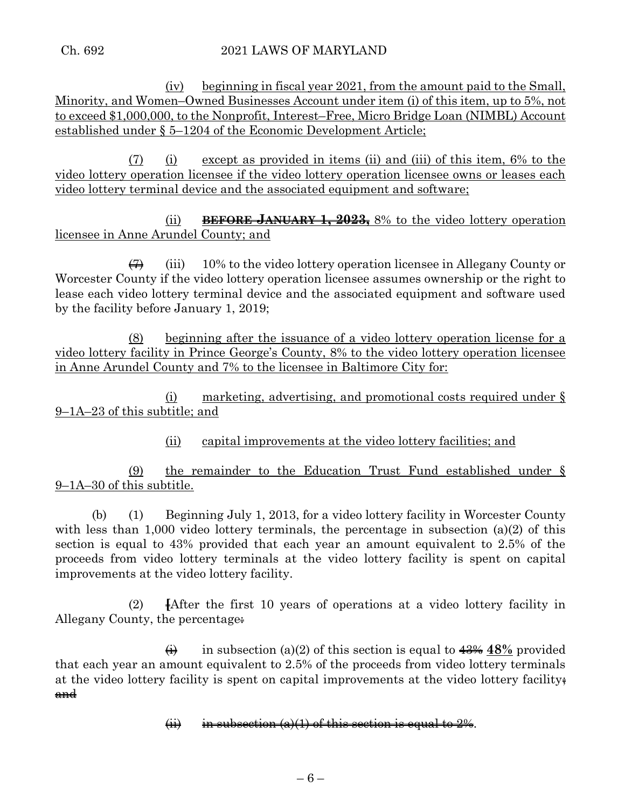(iv) beginning in fiscal year 2021, from the amount paid to the Small, Minority, and Women–Owned Businesses Account under item (i) of this item, up to 5%, not to exceed \$1,000,000, to the Nonprofit, Interest–Free, Micro Bridge Loan (NIMBL) Account established under § 5–1204 of the Economic Development Article;

(7) (i) except as provided in items (ii) and (iii) of this item, 6% to the video lottery operation licensee if the video lottery operation licensee owns or leases each video lottery terminal device and the associated equipment and software;

(ii) **BEFORE JANUARY 1, 2023,** 8% to the video lottery operation licensee in Anne Arundel County; and

 $\overline{\Theta}$  (iii) 10% to the video lottery operation licensee in Allegany County or Worcester County if the video lottery operation licensee assumes ownership or the right to lease each video lottery terminal device and the associated equipment and software used by the facility before January 1, 2019;

(8) beginning after the issuance of a video lottery operation license for a video lottery facility in Prince George's County, 8% to the video lottery operation licensee in Anne Arundel County and 7% to the licensee in Baltimore City for:

(i) marketing, advertising, and promotional costs required under § 9–1A–23 of this subtitle; and

(ii) capital improvements at the video lottery facilities; and

(9) the remainder to the Education Trust Fund established under § 9–1A–30 of this subtitle.

(b) (1) Beginning July 1, 2013, for a video lottery facility in Worcester County with less than 1,000 video lottery terminals, the percentage in subsection (a)(2) of this section is equal to 43% provided that each year an amount equivalent to 2.5% of the proceeds from video lottery terminals at the video lottery facility is spent on capital improvements at the video lottery facility.

(2) **[**After the first 10 years of operations at a video lottery facility in Allegany County, the percentage:

 $\overrightarrow{(ii)}$  in subsection (a)(2) of this section is equal to  $\frac{43\%}{18\%}$  provided that each year an amount equivalent to 2.5% of the proceeds from video lottery terminals at the video lottery facility is spent on capital improvements at the video lottery facility; and

(ii) in subsection (a)(1) of this section is equal to  $2\%$ .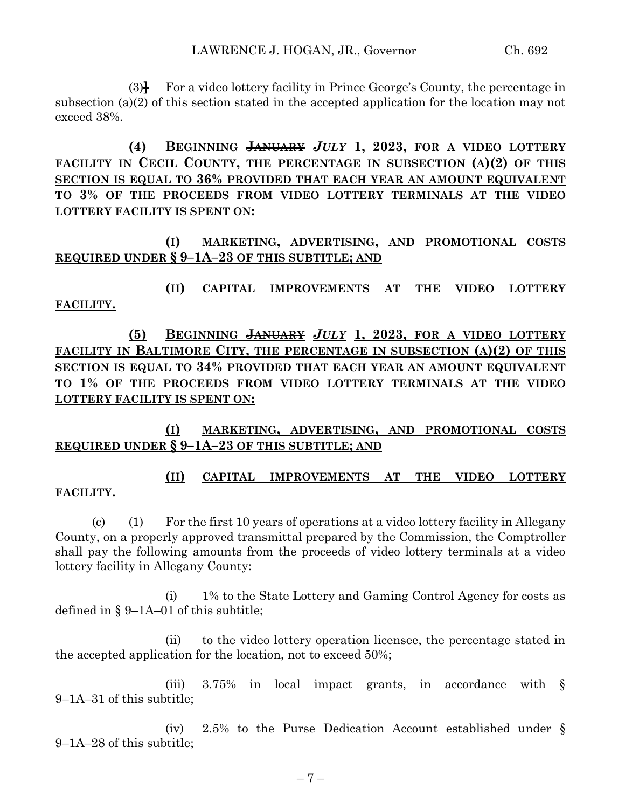(3)**]** For a video lottery facility in Prince George's County, the percentage in subsection (a)(2) of this section stated in the accepted application for the location may not exceed 38%.

**(4) BEGINNING JANUARY** *JULY* **1, 2023, FOR A VIDEO LOTTERY FACILITY IN CECIL COUNTY, THE PERCENTAGE IN SUBSECTION (A)(2) OF THIS SECTION IS EQUAL TO 36% PROVIDED THAT EACH YEAR AN AMOUNT EQUIVALENT TO 3% OF THE PROCEEDS FROM VIDEO LOTTERY TERMINALS AT THE VIDEO LOTTERY FACILITY IS SPENT ON:**

**(I) MARKETING, ADVERTISING, AND PROMOTIONAL COSTS REQUIRED UNDER § 9–1A–23 OF THIS SUBTITLE; AND**

**(II) CAPITAL IMPROVEMENTS AT THE VIDEO LOTTERY FACILITY.**

**(5) BEGINNING JANUARY** *JULY* **1, 2023, FOR A VIDEO LOTTERY FACILITY IN BALTIMORE CITY, THE PERCENTAGE IN SUBSECTION (A)(2) OF THIS SECTION IS EQUAL TO 34% PROVIDED THAT EACH YEAR AN AMOUNT EQUIVALENT TO 1% OF THE PROCEEDS FROM VIDEO LOTTERY TERMINALS AT THE VIDEO LOTTERY FACILITY IS SPENT ON:**

**(I) MARKETING, ADVERTISING, AND PROMOTIONAL COSTS REQUIRED UNDER § 9–1A–23 OF THIS SUBTITLE; AND**

## **(II) CAPITAL IMPROVEMENTS AT THE VIDEO LOTTERY FACILITY.**

(c) (1) For the first 10 years of operations at a video lottery facility in Allegany County, on a properly approved transmittal prepared by the Commission, the Comptroller shall pay the following amounts from the proceeds of video lottery terminals at a video lottery facility in Allegany County:

(i) 1% to the State Lottery and Gaming Control Agency for costs as defined in § 9–1A–01 of this subtitle;

(ii) to the video lottery operation licensee, the percentage stated in the accepted application for the location, not to exceed 50%;

(iii) 3.75% in local impact grants, in accordance with § 9–1A–31 of this subtitle;

(iv) 2.5% to the Purse Dedication Account established under § 9–1A–28 of this subtitle;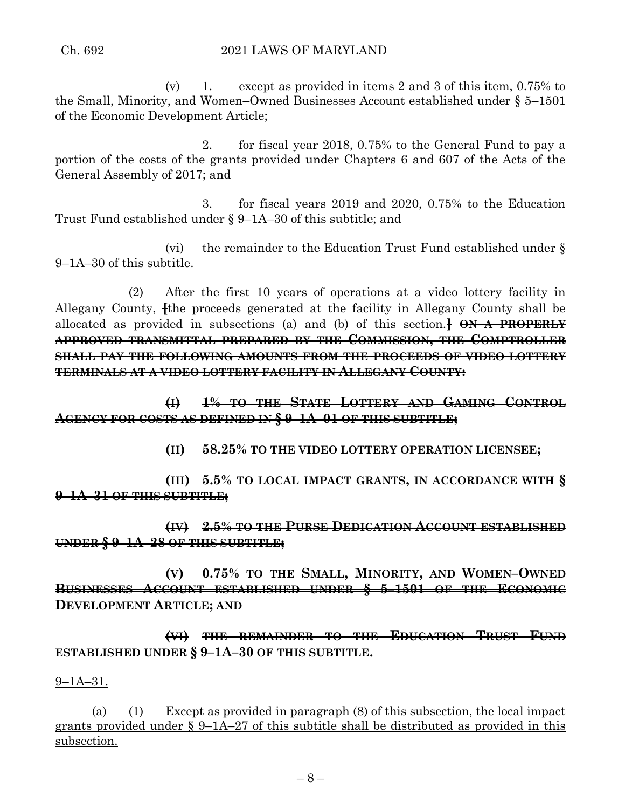(v) 1. except as provided in items 2 and 3 of this item, 0.75% to the Small, Minority, and Women–Owned Businesses Account established under § 5–1501 of the Economic Development Article;

2. for fiscal year 2018, 0.75% to the General Fund to pay a portion of the costs of the grants provided under Chapters 6 and 607 of the Acts of the General Assembly of 2017; and

3. for fiscal years 2019 and 2020, 0.75% to the Education Trust Fund established under § 9–1A–30 of this subtitle; and

(vi) the remainder to the Education Trust Fund established under § 9–1A–30 of this subtitle.

(2) After the first 10 years of operations at a video lottery facility in Allegany County, **[the proceeds generated at the facility in Allegany County shall be** allocated as provided in subsections (a) and (b) of this section.**] ON A PROPERLY APPROVED TRANSMITTAL PREPARED BY THE COMMISSION, THE COMPTROLLER SHALL PAY THE FOLLOWING AMOUNTS FROM THE PROCEEDS OF VIDEO LOTTERY TERMINALS AT A VIDEO LOTTERY FACILITY IN ALLEGANY COUNTY:**

**(I) 1% TO THE STATE LOTTERY AND GAMING CONTROL AGENCY FOR COSTS AS DEFINED IN § 9–1A–01 OF THIS SUBTITLE;**

**(II) 58.25% TO THE VIDEO LOTTERY OPERATION LICENSEE;**

**(III) 5.5% TO LOCAL IMPACT GRANTS, IN ACCORDANCE WITH § 9–1A–31 OF THIS SUBTITLE;**

**(IV) 2.5% TO THE PURSE DEDICATION ACCOUNT ESTABLISHED UNDER § 9–1A–28 OF THIS SUBTITLE;**

**(V) 0.75% TO THE SMALL, MINORITY, AND WOMEN–OWNED BUSINESSES ACCOUNT ESTABLISHED UNDER § 5–1501 OF THE ECONOMIC DEVELOPMENT ARTICLE; AND**

**(VI) THE REMAINDER TO THE EDUCATION TRUST FUND ESTABLISHED UNDER § 9–1A–30 OF THIS SUBTITLE.**

9–1A–31.

(a) (1) Except as provided in paragraph (8) of this subsection, the local impact grants provided under § 9–1A–27 of this subtitle shall be distributed as provided in this subsection.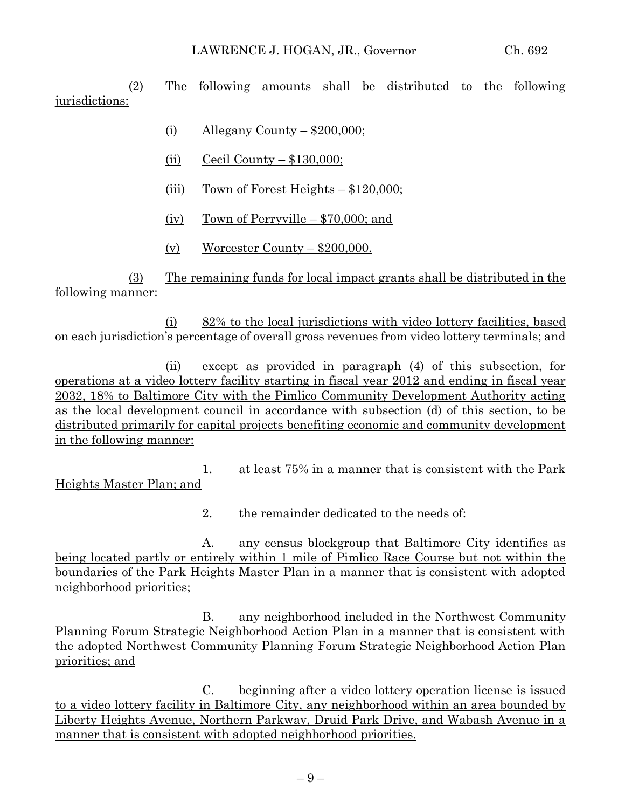(2) The following amounts shall be distributed to the following jurisdictions:

- (i) Allegany County  $$200,000;$
- (ii) Cecil County  $$130,000;$
- (iii) Town of Forest Heights  $-$  \$120,000;
- (iv) Town of Perryville  $$70,000$ ; and
- (v) Worcester County  $-$  \$200,000.

(3) The remaining funds for local impact grants shall be distributed in the following manner:

(i) 82% to the local jurisdictions with video lottery facilities, based on each jurisdiction's percentage of overall gross revenues from video lottery terminals; and

(ii) except as provided in paragraph (4) of this subsection, for operations at a video lottery facility starting in fiscal year 2012 and ending in fiscal year 2032, 18% to Baltimore City with the Pimlico Community Development Authority acting as the local development council in accordance with subsection (d) of this section, to be distributed primarily for capital projects benefiting economic and community development in the following manner:

1. at least 75% in a manner that is consistent with the Park Heights Master Plan; and

2. the remainder dedicated to the needs of:

A. any census blockgroup that Baltimore City identifies as being located partly or entirely within 1 mile of Pimlico Race Course but not within the boundaries of the Park Heights Master Plan in a manner that is consistent with adopted neighborhood priorities;

B. any neighborhood included in the Northwest Community Planning Forum Strategic Neighborhood Action Plan in a manner that is consistent with the adopted Northwest Community Planning Forum Strategic Neighborhood Action Plan priorities; and

C. beginning after a video lottery operation license is issued to a video lottery facility in Baltimore City, any neighborhood within an area bounded by Liberty Heights Avenue, Northern Parkway, Druid Park Drive, and Wabash Avenue in a manner that is consistent with adopted neighborhood priorities.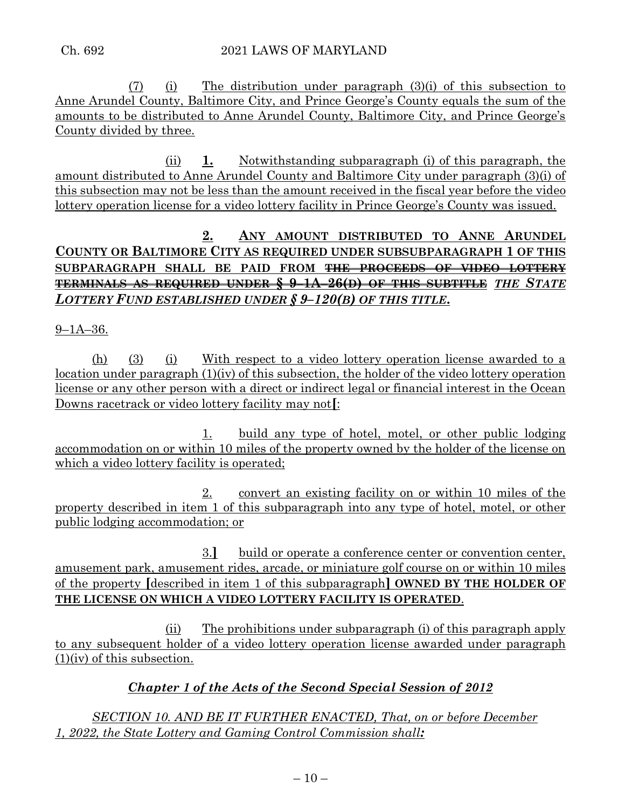(7) (i) The distribution under paragraph (3)(i) of this subsection to Anne Arundel County, Baltimore City, and Prince George's County equals the sum of the amounts to be distributed to Anne Arundel County, Baltimore City, and Prince George's County divided by three.

(ii) **1.** Notwithstanding subparagraph (i) of this paragraph, the amount distributed to Anne Arundel County and Baltimore City under paragraph (3)(i) of this subsection may not be less than the amount received in the fiscal year before the video lottery operation license for a video lottery facility in Prince George's County was issued.

## **2. ANY AMOUNT DISTRIBUTED TO ANNE ARUNDEL COUNTY OR BALTIMORE CITY AS REQUIRED UNDER SUBSUBPARAGRAPH 1 OF THIS SUBPARAGRAPH SHALL BE PAID FROM THE PROCEEDS OF VIDEO LOTTERY TERMINALS AS REQUIRED UNDER § 9–1A–26(D) OF THIS SUBTITLE** *THE STATE LOTTERY FUND ESTABLISHED UNDER § 9–120(B) OF THIS TITLE***.**

9–1A–36.

(h) (3) (i) With respect to a video lottery operation license awarded to a location under paragraph (1)(iv) of this subsection, the holder of the video lottery operation license or any other person with a direct or indirect legal or financial interest in the Ocean Downs racetrack or video lottery facility may not**[**:

1. build any type of hotel, motel, or other public lodging accommodation on or within 10 miles of the property owned by the holder of the license on which a video lottery facility is operated;

2. convert an existing facility on or within 10 miles of the property described in item 1 of this subparagraph into any type of hotel, motel, or other public lodging accommodation; or

3.**]** build or operate a conference center or convention center, amusement park, amusement rides, arcade, or miniature golf course on or within 10 miles of the property **[**described in item 1 of this subparagraph**] OWNED BY THE HOLDER OF THE LICENSE ON WHICH A VIDEO LOTTERY FACILITY IS OPERATED**.

(ii) The prohibitions under subparagraph (i) of this paragraph apply to any subsequent holder of a video lottery operation license awarded under paragraph (1)(iv) of this subsection.

# *Chapter 1 of the Acts of the Second Special Session of 2012*

*SECTION 10. AND BE IT FURTHER ENACTED, That, on or before December 1, 2022, the State Lottery and Gaming Control Commission shall:*